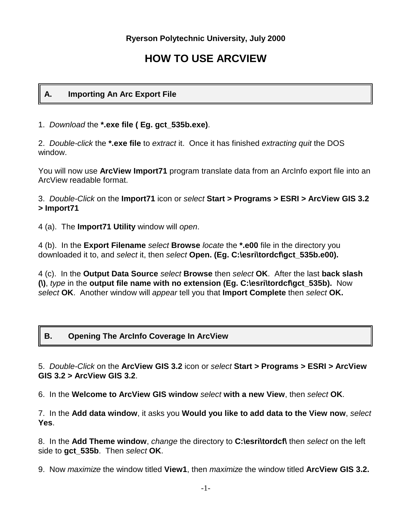# **HOW TO USE ARCVIEW**

### **A. Importing An Arc Export File**

1. *Download* the **\*.exe file ( Eg. gct\_535b.exe)**.

2. *Double-click* the **\*.exe file** to *extract* it. Once it has finished *extracting quit* the DOS window.

You will now use **ArcView Import71** program translate data from an ArcInfo export file into an ArcView readable format.

3. *Double-Click* on the **Import71** icon or *select* **Start > Programs > ESRI > ArcView GIS 3.2 > Import71**

4 (a). The **Import71 Utility** window will *open*.

4 (b). In the **Export Filename** *select* **Browse** *locate* the **\*.e00** file in the directory you downloaded it to, and *select* it, then *select* **Open. (Eg. C:\esri\tordcf\gct\_535b.e00).**

4 (c). In the **Output Data Source** *select* **Browse** then *select* **OK**. After the last **back slash (\)**, *type* in the **output file name with no extension (Eg. C:\esri\tordcf\gct\_535b).** Now *select* **OK**. Another window will *appear* tell you that **Import Complete** then *select* **OK.**

# **B. Opening The ArcInfo Coverage In ArcView**

5. *Double-Click* on the **ArcView GIS 3.2** icon or *select* **Start > Programs > ESRI > ArcView GIS 3.2 > ArcView GIS 3.2**.

6. In the **Welcome to ArcView GIS window** *select* **with a new View**, then *select* **OK**.

7. In the **Add data window**, it asks you **Would you like to add data to the View now**, *select* **Yes**.

8. In the **Add Theme window**, *change* the directory to **C:\esri\tordcf\** then *select* on the left side to **gct\_535b**. Then *select* **OK**.

9. Now *maximize* the window titled **View1**, then *maximize* the window titled **ArcView GIS 3.2.**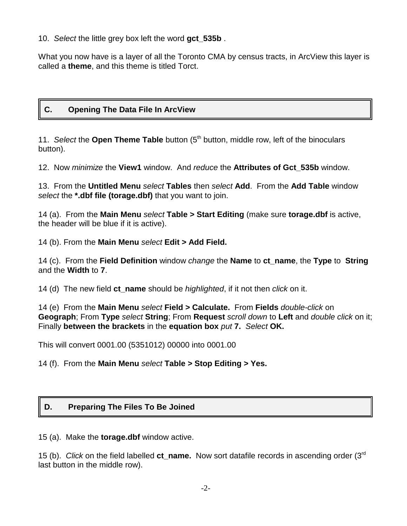10. *Select* the little grey box left the word **gct\_535b** .

What you now have is a layer of all the Toronto CMA by census tracts, in ArcView this layer is called a **theme**, and this theme is titled Torct.

### **C. Opening The Data File In ArcView**

11. *Select* the **Open Theme Table** button (5<sup>th</sup> button, middle row, left of the binoculars button).

12. Now *minimize* the **View1** window. And *reduce* the **Attributes of Gct\_535b** window.

13. From the **Untitled Menu** *select* **Tables** then *select* **Add**. From the **Add Table** window *select* the **\*.dbf file (torage.dbf)** that you want to join.

14 (a). From the **Main Menu** *select* **Table > Start Editing** (make sure **torage.dbf** is active, the header will be blue if it is active).

14 (b). From the **Main Menu** *select* **Edit > Add Field.**

14 (c). From the **Field Definition** window *change* the **Name** to **ct\_name**, the **Type** to **String** and the **Width** to **7**.

14 (d) The new field **ct\_name** should be *highlighted*, if it not then *click* on it.

14 (e) From the **Main Menu** *select* **Field > Calculate.** From **Fields** *double-click* on **Geograph**; From **Type** *select* **String**; From **Request** *scroll down* to **Left** and *double click* on it; Finally **between the brackets** in the **equation box** *put* **7.** *Select* **OK.**

This will convert 0001.00 (5351012) 00000 into 0001.00

### 14 (f). From the **Main Menu** *select* **Table > Stop Editing > Yes.**

### **D. Preparing The Files To Be Joined**

15 (a). Make the **torage.dbf** window active.

15 (b). *Click* on the field labelled **ct\_name.** Now sort datafile records in ascending order (3rd last button in the middle row).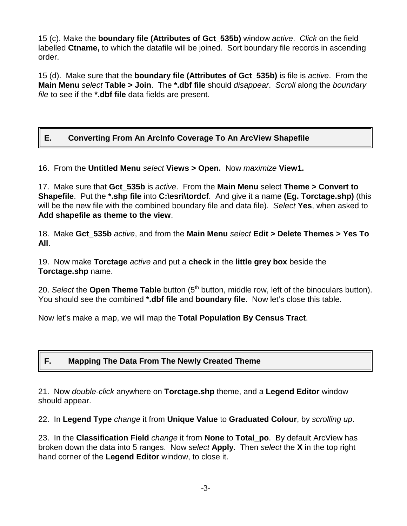15 (c). Make the **boundary file (Attributes of Gct\_535b)** window *active*. *Click* on the field labelled **Ctname,** to which the datafile will be joined. Sort boundary file records in ascending order.

15 (d). Make sure that the **boundary file (Attributes of Gct\_535b)** is file is *active*. From the **Main Menu** *select* **Table > Join**. The **\*.dbf file** should *disappear*. *Scroll* along the *boundary file* to see if the **\*.dbf file** data fields are present.

# **E. Converting From An ArcInfo Coverage To An ArcView Shapefile**

16. From the **Untitled Menu** *select* **Views > Open.** Now *maximize* **View1.**

17. Make sure that **Gct\_535b** is *active*. From the **Main Menu** select **Theme > Convert to Shapefile**. Put the **\*.shp file** into **C:\esri\tordcf**. And give it a name **(Eg. Torctage.shp)** (this will be the new file with the combined boundary file and data file). *Select* **Yes**, when asked to **Add shapefile as theme to the view**.

18. Make **Gct\_535b** *active*, and from the **Main Menu** *select* **Edit > Delete Themes > Yes To All**.

19. Now make **Torctage** *active* and put a **check** in the **little grey box** beside the **Torctage.shp** name.

20. *Select* the **Open Theme Table** button (5<sup>th</sup> button, middle row, left of the binoculars button). You should see the combined **\*.dbf file** and **boundary file**. Now let's close this table.

Now let's make a map, we will map the **Total Population By Census Tract**.

# **F. Mapping The Data From The Newly Created Theme**

21. Now *double-click* anywhere on **Torctage.shp** theme, and a **Legend Editor** window should appear.

22. In **Legend Type** *change* it from **Unique Value** to **Graduated Colour**, by *scrolling up*.

23. In the **Classification Field** *change* it from **None** to **Total\_po**. By default ArcView has broken down the data into 5 ranges. Now *select* **Apply**. Then *select* the **X** in the top right hand corner of the **Legend Editor** window, to close it.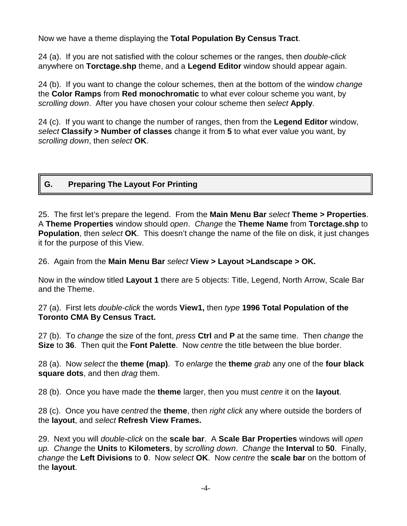Now we have a theme displaying the **Total Population By Census Tract**.

24 (a). If you are not satisfied with the colour schemes or the ranges, then *double-click* anywhere on **Torctage.shp** theme, and a **Legend Editor** window should appear again.

24 (b). If you want to change the colour schemes, then at the bottom of the window *change* the **Color Ramps** from **Red monochromatic** to what ever colour scheme you want, by *scrolling down*. After you have chosen your colour scheme then *select* **Apply**.

24 (c). If you want to change the number of ranges, then from the **Legend Editor** window, *select* **Classify > Number of classes** change it from **5** to what ever value you want, by *scrolling down*, then *select* **OK**.

# **G. Preparing The Layout For Printing**

25. The first let's prepare the legend. From the **Main Menu Bar** *select* **Theme > Properties**. A **Theme Properties** window should *open*. *Change* the **Theme Name** from **Torctage.shp** to **Population**, then *select* **OK**. This doesn't change the name of the file on disk, it just changes it for the purpose of this View.

26. Again from the **Main Menu Bar** *select* **View > Layout >Landscape > OK.**

Now in the window titled **Layout 1** there are 5 objects: Title, Legend, North Arrow, Scale Bar and the Theme.

27 (a). First lets *double-click* the words **View1,** then *type* **1996 Total Population of the Toronto CMA By Census Tract.**

27 (b). To *change* the size of the font, *press* **Ctrl** and **P** at the same time. Then *change* the **Size** to **36**. Then quit the **Font Palette**. Now *centre* the title between the blue border.

28 (a). Now *select* the **theme (map)**. To *enlarge* the **theme** *grab* any one of the **four black square dots**, and then *drag* them.

28 (b). Once you have made the **theme** larger, then you must *centre* it on the **layout**.

28 (c). Once you have *centred* the **theme**, then *right click* any where outside the borders of the **layout**, and *select* **Refresh View Frames.**

29. Next you will *double-click* on the **scale bar**. A **Scale Bar Properties** windows will *open up. Change* the **Units** to **Kilometers**, by *scrolling down*. *Change* the **Interval** to **50**. Finally, *change* the **Left Divisions** to **0**. Now *select* **OK**. Now *centre* the **scale bar** on the bottom of the **layout**.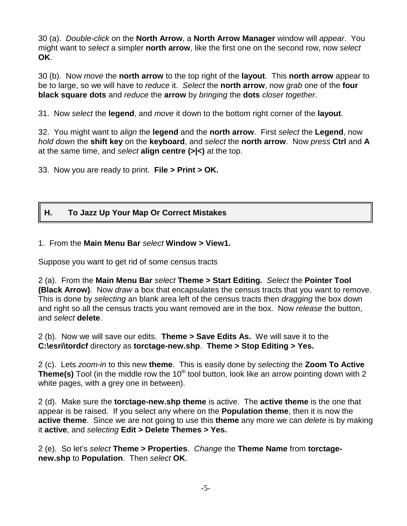30 (a). *Double-click* on the **North Arrow**, a **North Arrow Manager** window will *appear*. You might want to *select* a simpler **north arrow**, like the first one on the second row, now *select* **OK**.

30 (b). Now *move* the **north arrow** to the top right of the **layout**. This **north arrow** appear to be to large, so we will have to *reduce* it. *Select* the **north arrow**, now *grab* one of the **four black square dots** and *reduce* the **arrow** by *bringing* the **dots** *closer together*.

31. Now *select* the **legend**, and *move* it down to the bottom right corner of the **layout**.

32. You might want to *align* the **legend** and the **north arrow**. First *select* the **Legend**, now *hold down* the **shift key** on the **keyboard**, and *select* the **north arrow**. Now *press* **Ctrl** and **A** at the same time, and *select* **align centre (>|<)** at the top.

33. Now you are ready to print. **File > Print > OK.**

### **H. To Jazz Up Your Map Or Correct Mistakes**

#### 1. From the **Main Menu Bar** *select* **Window > View1.**

Suppose you want to get rid of some census tracts

2 (a). From the **Main Menu Bar** *select* **Theme > Start Editing.** *Select* the **Pointer Tool (Black Arrow)**. Now *draw* a box that encapsulates the census tracts that you want to remove. This is done by *selecting* an blank area left of the census tracts then *dragging* the box down and right so all the census tracts you want removed are in the box. Now *release* the button, and *select* **delete**.

2 (b). Now we will save our edits. **Theme > Save Edits As.** We will save it to the **C:\esri\tordcf** directory as **torctage-new.shp**. **Theme > Stop Editing > Yes.**

2 (c). Lets *zoom-in* to this new **theme**. This is easily done by *selecting* the **Zoom To Active Theme(s)** Tool (in the middle row the 10<sup>th</sup> tool button, look like an arrow pointing down with 2 white pages, with a grey one in between).

2 (d). Make sure the **torctage-new.shp theme** is active. The **active theme** is the one that appear is be raised. If you select any where on the **Population theme**, then it is now the **active theme**. Since we are not going to use this **theme** any more we can *delete* is by making it **active**, and *selecting* **Edit > Delete Themes > Yes.**

2 (e). So let's *select* **Theme > Properties**. *Change* the **Theme Name** from **torctagenew.shp** to **Population**. Then *select* **OK**.